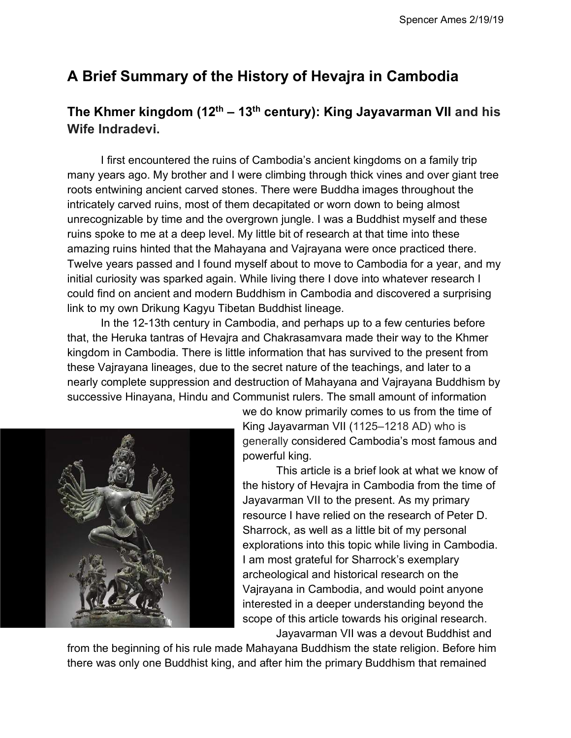# **A Brief Summary of the History of Hevajra in Cambodia**

# **The Khmer kingdom (12th – 13th century): King Jayavarman VII and his Wife Indradevi.**

I first encountered the ruins of Cambodia's ancient kingdoms on a family trip many years ago. My brother and I were climbing through thick vines and over giant tree roots entwining ancient carved stones. There were Buddha images throughout the intricately carved ruins, most of them decapitated or worn down to being almost unrecognizable by time and the overgrown jungle. I was a Buddhist myself and these ruins spoke to me at a deep level. My little bit of research at that time into these amazing ruins hinted that the Mahayana and Vajrayana were once practiced there. Twelve years passed and I found myself about to move to Cambodia for a year, and my initial curiosity was sparked again. While living there I dove into whatever research I could find on ancient and modern Buddhism in Cambodia and discovered a surprising link to my own Drikung Kagyu Tibetan Buddhist lineage.

In the 12-13th century in Cambodia, and perhaps up to a few centuries before that, the Heruka tantras of Hevajra and Chakrasamvara made their way to the Khmer kingdom in Cambodia. There is little information that has survived to the present from these Vajrayana lineages, due to the secret nature of the teachings, and later to a nearly complete suppression and destruction of Mahayana and Vajrayana Buddhism by successive Hinayana, Hindu and Communist rulers. The small amount of information



we do know primarily comes to us from the time of King Jayavarman VII (1125–1218 AD) who is generally considered Cambodia's most famous and powerful king.

This article is a brief look at what we know of the history of Hevajra in Cambodia from the time of Jayavarman VII to the present. As my primary resource I have relied on the research of Peter D. Sharrock, as well as a little bit of my personal explorations into this topic while living in Cambodia. I am most grateful for Sharrock's exemplary archeological and historical research on the Vajrayana in Cambodia, and would point anyone interested in a deeper understanding beyond the scope of this article towards his original research. Jayavarman VII was a devout Buddhist and

from the beginning of his rule made Mahayana Buddhism the state religion. Before him there was only one Buddhist king, and after him the primary Buddhism that remained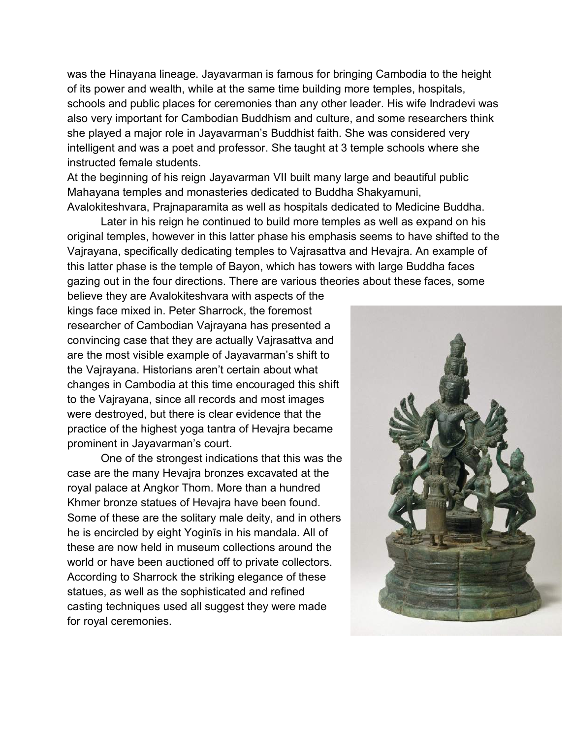was the Hinayana lineage. Jayavarman is famous for bringing Cambodia to the height of its power and wealth, while at the same time building more temples, hospitals, schools and public places for ceremonies than any other leader. His wife Indradevi was also very important for Cambodian Buddhism and culture, and some researchers think she played a major role in Jayavarman's Buddhist faith. She was considered very intelligent and was a poet and professor. She taught at 3 temple schools where she instructed female students.

At the beginning of his reign Jayavarman VII built many large and beautiful public Mahayana temples and monasteries dedicated to Buddha Shakyamuni, Avalokiteshvara, Prajnaparamita as well as hospitals dedicated to Medicine Buddha.

Later in his reign he continued to build more temples as well as expand on his original temples, however in this latter phase his emphasis seems to have shifted to the Vajrayana, specifically dedicating temples to Vajrasattva and Hevajra. An example of this latter phase is the temple of Bayon, which has towers with large Buddha faces gazing out in the four directions. There are various theories about these faces, some

believe they are Avalokiteshvara with aspects of the kings face mixed in. Peter Sharrock, the foremost researcher of Cambodian Vajrayana has presented a convincing case that they are actually Vajrasattva and are the most visible example of Jayavarman's shift to the Vajrayana. Historians aren't certain about what changes in Cambodia at this time encouraged this shift to the Vajrayana, since all records and most images were destroyed, but there is clear evidence that the practice of the highest yoga tantra of Hevajra became prominent in Jayavarman's court.

One of the strongest indications that this was the case are the many Hevajra bronzes excavated at the royal palace at Angkor Thom. More than a hundred Khmer bronze statues of Hevajra have been found. Some of these are the solitary male deity, and in others he is encircled by eight Yoginīs in his mandala. All of these are now held in museum collections around the world or have been auctioned off to private collectors. According to Sharrock the striking elegance of these statues, as well as the sophisticated and refined casting techniques used all suggest they were made for royal ceremonies.

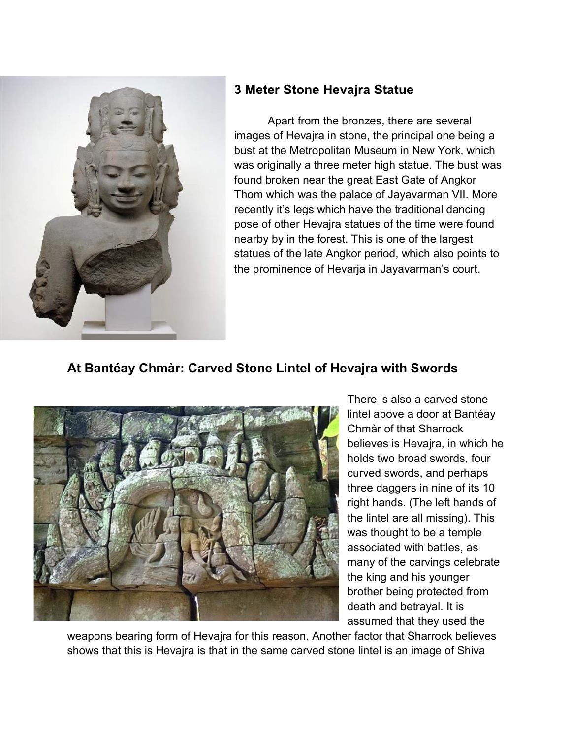

#### **3 Meter Stone Hevajra Statue**

Apart from the bronzes, there are several images of Hevajra in stone, the principal one being a bust at the Metropolitan Museum in New York, which was originally a three meter high statue. The bust was found broken near the great East Gate of Angkor Thom which was the palace of Jayavarman VII. More recently it's legs which have the traditional dancing pose of other Hevajra statues of the time were found nearby by in the forest. This is one of the largest statues of the late Angkor period, which also points to the prominence of Hevarja in Jayavarman's court.

### **At Bantéay Chmàr: Carved Stone Lintel of Hevajra with Swords**



There is also a carved stone lintel above a door at Bantéay Chmàr of that Sharrock believes is Hevajra, in which he holds two broad swords, four curved swords, and perhaps three daggers in nine of its 10 right hands. (The left hands of the lintel are all missing). This was thought to be a temple associated with battles, as many of the carvings celebrate the king and his younger brother being protected from death and betrayal. It is assumed that they used the

weapons bearing form of Hevajra for this reason. Another factor that Sharrock believes shows that this is Hevajra is that in the same carved stone lintel is an image of Shiva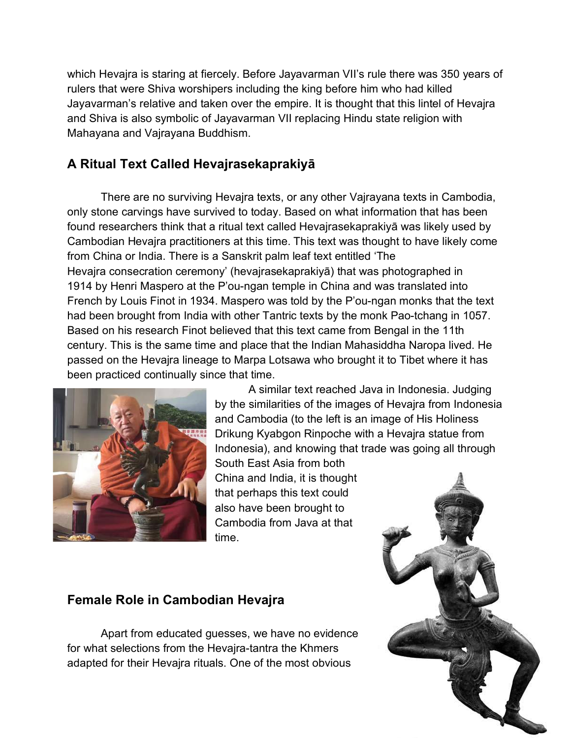which Hevajra is staring at fiercely. Before Jayavarman VII's rule there was 350 years of rulers that were Shiva worshipers including the king before him who had killed Jayavarman's relative and taken over the empire. It is thought that this lintel of Hevajra and Shiva is also symbolic of Jayavarman VII replacing Hindu state religion with Mahayana and Vajrayana Buddhism.

## **A Ritual Text Called Hevajrasekaprakiyā**

There are no surviving Hevajra texts, or any other Vajrayana texts in Cambodia, only stone carvings have survived to today. Based on what information that has been found researchers think that a ritual text called Hevajrasekaprakiyā was likely used by Cambodian Hevajra practitioners at this time. This text was thought to have likely come from China or India. There is a Sanskrit palm leaf text entitled 'The Hevajra consecration ceremony' (hevajrasekaprakiyā) that was photographed in 1914 by Henri Maspero at the P'ou-ngan temple in China and was translated into French by Louis Finot in 1934. Maspero was told by the P'ou-ngan monks that the text had been brought from India with other Tantric texts by the monk Pao-tchang in 1057. Based on his research Finot believed that this text came from Bengal in the 11th century. This is the same time and place that the Indian Mahasiddha Naropa lived. He passed on the Hevajra lineage to Marpa Lotsawa who brought it to Tibet where it has been practiced continually since that time.



A similar text reached Java in Indonesia. Judging by the similarities of the images of Hevajra from Indonesia and Cambodia (to the left is an image of His Holiness Drikung Kyabgon Rinpoche with a Hevajra statue from Indonesia), and knowing that trade was going all through South East Asia from both China and India, it is thought that perhaps this text could also have been brought to Cambodia from Java at that

## **Female Role in Cambodian Hevajra**

Apart from educated guesses, we have no evidence for what selections from the Hevajra-tantra the Khmers adapted for their Hevajra rituals. One of the most obvious

time.

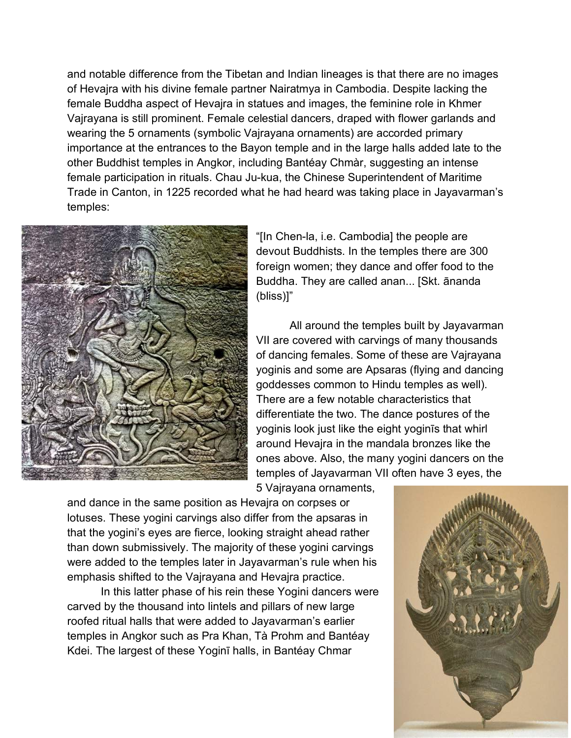and notable difference from the Tibetan and Indian lineages is that there are no images of Hevajra with his divine female partner Nairatmya in Cambodia. Despite lacking the female Buddha aspect of Hevajra in statues and images, the feminine role in Khmer Vajrayana is still prominent. Female celestial dancers, draped with flower garlands and wearing the 5 ornaments (symbolic Vajrayana ornaments) are accorded primary importance at the entrances to the Bayon temple and in the large halls added late to the other Buddhist temples in Angkor, including Bantéay Chmàr, suggesting an intense female participation in rituals. Chau Ju-kua, the Chinese Superintendent of Maritime Trade in Canton, in 1225 recorded what he had heard was taking place in Jayavarman's temples:



"[In Chen-la, i.e. Cambodia] the people are devout Buddhists. In the temples there are 300 foreign women; they dance and offer food to the Buddha. They are called anan... [Skt. ānanda (bliss)]"

All around the temples built by Jayavarman VII are covered with carvings of many thousands of dancing females. Some of these are Vajrayana yoginis and some are Apsaras (flying and dancing goddesses common to Hindu temples as well). There are a few notable characteristics that differentiate the two. The dance postures of the yoginis look just like the eight yoginīs that whirl around Hevajra in the mandala bronzes like the ones above. Also, the many yogini dancers on the temples of Jayavarman VII often have 3 eyes, the

5 Vajrayana ornaments,

and dance in the same position as Hevajra on corpses or lotuses. These yogini carvings also differ from the apsaras in that the yogini's eyes are fierce, looking straight ahead rather than down submissively. The majority of these yogini carvings were added to the temples later in Jayavarman's rule when his emphasis shifted to the Vajrayana and Hevajra practice.

In this latter phase of his rein these Yogini dancers were carved by the thousand into lintels and pillars of new large roofed ritual halls that were added to Jayavarman's earlier temples in Angkor such as Pra Khan, Tà Prohm and Bantéay Kdei. The largest of these Yoginī halls, in Bantéay Chmar

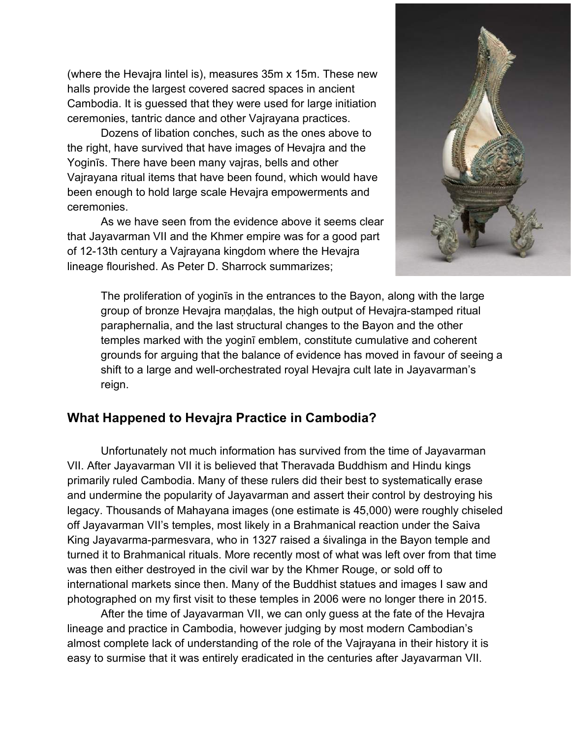(where the Hevajra lintel is), measures 35m x 15m. These new halls provide the largest covered sacred spaces in ancient Cambodia. It is guessed that they were used for large initiation ceremonies, tantric dance and other Vajrayana practices.

Dozens of libation conches, such as the ones above to the right, have survived that have images of Hevajra and the Yoginīs. There have been many vajras, bells and other Vajrayana ritual items that have been found, which would have been enough to hold large scale Hevajra empowerments and ceremonies.

As we have seen from the evidence above it seems clear that Jayavarman VII and the Khmer empire was for a good part of 12-13th century a Vajrayana kingdom where the Hevajra lineage flourished. As Peter D. Sharrock summarizes;



The proliferation of yoginīs in the entrances to the Bayon, along with the large group of bronze Hevajra maṇḍalas, the high output of Hevajra-stamped ritual paraphernalia, and the last structural changes to the Bayon and the other temples marked with the yoginī emblem, constitute cumulative and coherent grounds for arguing that the balance of evidence has moved in favour of seeing a shift to a large and well-orchestrated royal Hevajra cult late in Jayavarman's reign.

### **What Happened to Hevajra Practice in Cambodia?**

Unfortunately not much information has survived from the time of Jayavarman VII. After Jayavarman VII it is believed that Theravada Buddhism and Hindu kings primarily ruled Cambodia. Many of these rulers did their best to systematically erase and undermine the popularity of Jayavarman and assert their control by destroying his legacy. Thousands of Mahayana images (one estimate is 45,000) were roughly chiseled off Jayavarman VII's temples, most likely in a Brahmanical reaction under the Saiva King Jayavarma-parmesvara, who in 1327 raised a śivalinga in the Bayon temple and turned it to Brahmanical rituals. More recently most of what was left over from that time was then either destroyed in the civil war by the Khmer Rouge, or sold off to international markets since then. Many of the Buddhist statues and images I saw and photographed on my first visit to these temples in 2006 were no longer there in 2015.

After the time of Jayavarman VII, we can only guess at the fate of the Hevajra lineage and practice in Cambodia, however judging by most modern Cambodian's almost complete lack of understanding of the role of the Vajrayana in their history it is easy to surmise that it was entirely eradicated in the centuries after Jayavarman VII.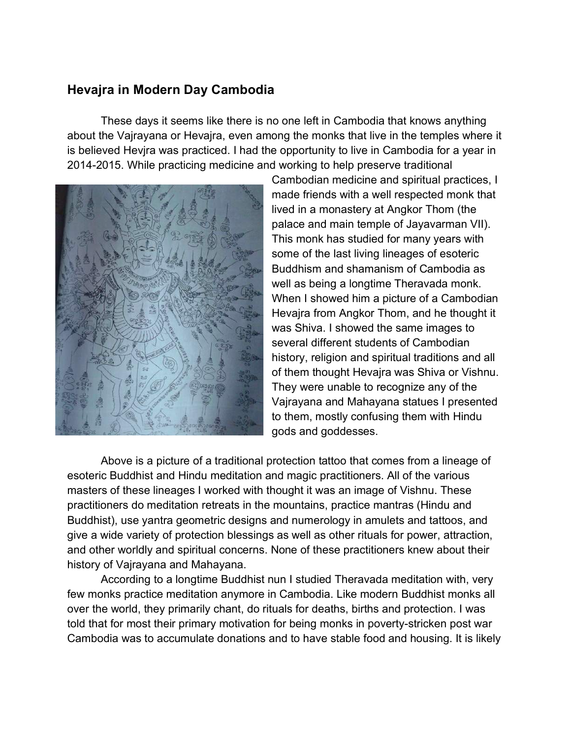#### **Hevajra in Modern Day Cambodia**

These days it seems like there is no one left in Cambodia that knows anything about the Vajrayana or Hevajra, even among the monks that live in the temples where it is believed Hevjra was practiced. I had the opportunity to live in Cambodia for a year in 2014-2015. While practicing medicine and working to help preserve traditional



Cambodian medicine and spiritual practices, I made friends with a well respected monk that lived in a monastery at Angkor Thom (the palace and main temple of Jayavarman VII). This monk has studied for many years with some of the last living lineages of esoteric Buddhism and shamanism of Cambodia as well as being a longtime Theravada monk. When I showed him a picture of a Cambodian Hevajra from Angkor Thom, and he thought it was Shiva. I showed the same images to several different students of Cambodian history, religion and spiritual traditions and all of them thought Hevajra was Shiva or Vishnu. They were unable to recognize any of the Vajrayana and Mahayana statues I presented to them, mostly confusing them with Hindu gods and goddesses.

Above is a picture of a traditional protection tattoo that comes from a lineage of esoteric Buddhist and Hindu meditation and magic practitioners. All of the various masters of these lineages I worked with thought it was an image of Vishnu. These practitioners do meditation retreats in the mountains, practice mantras (Hindu and Buddhist), use yantra geometric designs and numerology in amulets and tattoos, and give a wide variety of protection blessings as well as other rituals for power, attraction, and other worldly and spiritual concerns. None of these practitioners knew about their history of Vajrayana and Mahayana.

According to a longtime Buddhist nun I studied Theravada meditation with, very few monks practice meditation anymore in Cambodia. Like modern Buddhist monks all over the world, they primarily chant, do rituals for deaths, births and protection. I was told that for most their primary motivation for being monks in poverty-stricken post war Cambodia was to accumulate donations and to have stable food and housing. It is likely